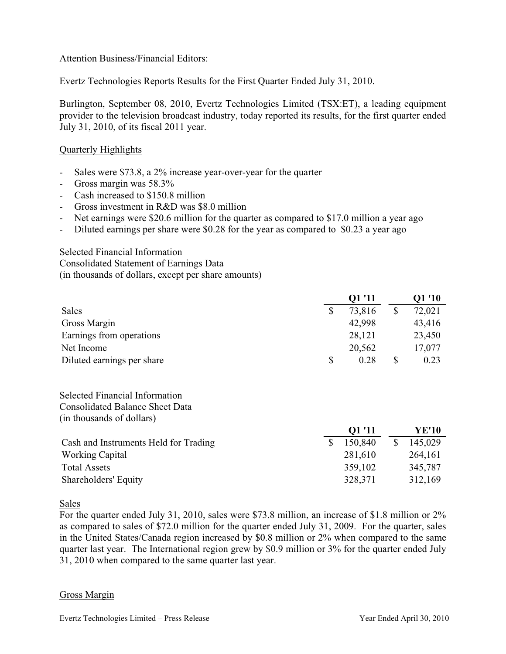### Attention Business/Financial Editors:

Evertz Technologies Reports Results for the First Quarter Ended July 31, 2010.

Burlington, September 08, 2010, Evertz Technologies Limited (TSX:ET), a leading equipment provider to the television broadcast industry, today reported its results, for the first quarter ended July 31, 2010, of its fiscal 2011 year.

# Quarterly Highlights

- Sales were \$73.8, a 2% increase year-over-year for the quarter
- Gross margin was 58.3%
- Cash increased to \$150.8 million
- Gross investment in R&D was \$8.0 million
- Net earnings were \$20.6 million for the quarter as compared to \$17.0 million a year ago
- Diluted earnings per share were \$0.28 for the year as compared to \$0.23 a year ago

Selected Financial Information Consolidated Statement of Earnings Data (in thousands of dollars, except per share amounts)

|                            | Q1 '11 |        | O1 '10 |        |
|----------------------------|--------|--------|--------|--------|
| Sales                      | \$     | 73,816 |        | 72,021 |
| Gross Margin               |        | 42,998 |        | 43,416 |
| Earnings from operations   |        | 28,121 |        | 23,450 |
| Net Income                 |        | 20,562 |        | 17,077 |
| Diluted earnings per share | \$     | 0.28   |        | 0.23   |

Selected Financial Information Consolidated Balance Sheet Data (in thousands of dollars)

|                                       | <b>Q1 '11</b> | YE'10   |
|---------------------------------------|---------------|---------|
| Cash and Instruments Held for Trading | 150,840       | 145,029 |
| <b>Working Capital</b>                | 281,610       | 264,161 |
| <b>Total Assets</b>                   | 359,102       | 345,787 |
| Shareholders' Equity                  | 328,371       | 312,169 |

Sales

For the quarter ended July 31, 2010, sales were \$73.8 million, an increase of \$1.8 million or 2% as compared to sales of \$72.0 million for the quarter ended July 31, 2009. For the quarter, sales in the United States/Canada region increased by \$0.8 million or 2% when compared to the same quarter last year. The International region grew by \$0.9 million or 3% for the quarter ended July 31, 2010 when compared to the same quarter last year.

#### Gross Margin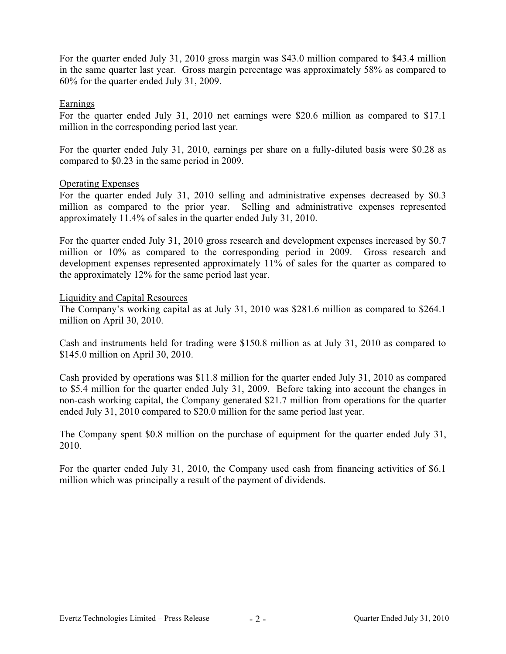For the quarter ended July 31, 2010 gross margin was \$43.0 million compared to \$43.4 million in the same quarter last year. Gross margin percentage was approximately 58% as compared to 60% for the quarter ended July 31, 2009.

## Earnings

For the quarter ended July 31, 2010 net earnings were \$20.6 million as compared to \$17.1 million in the corresponding period last year.

For the quarter ended July 31, 2010, earnings per share on a fully-diluted basis were \$0.28 as compared to \$0.23 in the same period in 2009.

#### Operating Expenses

For the quarter ended July 31, 2010 selling and administrative expenses decreased by \$0.3 million as compared to the prior year. Selling and administrative expenses represented approximately 11.4% of sales in the quarter ended July 31, 2010.

For the quarter ended July 31, 2010 gross research and development expenses increased by \$0.7 million or 10% as compared to the corresponding period in 2009. Gross research and development expenses represented approximately 11% of sales for the quarter as compared to the approximately 12% for the same period last year.

#### Liquidity and Capital Resources

The Company's working capital as at July 31, 2010 was \$281.6 million as compared to \$264.1 million on April 30, 2010.

Cash and instruments held for trading were \$150.8 million as at July 31, 2010 as compared to \$145.0 million on April 30, 2010.

Cash provided by operations was \$11.8 million for the quarter ended July 31, 2010 as compared to \$5.4 million for the quarter ended July 31, 2009. Before taking into account the changes in non-cash working capital, the Company generated \$21.7 million from operations for the quarter ended July 31, 2010 compared to \$20.0 million for the same period last year.

The Company spent \$0.8 million on the purchase of equipment for the quarter ended July 31, 2010.

For the quarter ended July 31, 2010, the Company used cash from financing activities of \$6.1 million which was principally a result of the payment of dividends.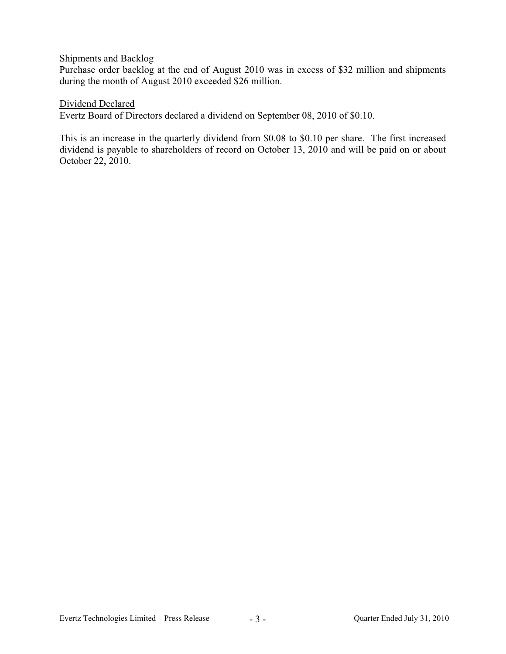# Shipments and Backlog

Purchase order backlog at the end of August 2010 was in excess of \$32 million and shipments during the month of August 2010 exceeded \$26 million.

## Dividend Declared

Evertz Board of Directors declared a dividend on September 08, 2010 of \$0.10.

This is an increase in the quarterly dividend from \$0.08 to \$0.10 per share. The first increased dividend is payable to shareholders of record on October 13, 2010 and will be paid on or about October 22, 2010.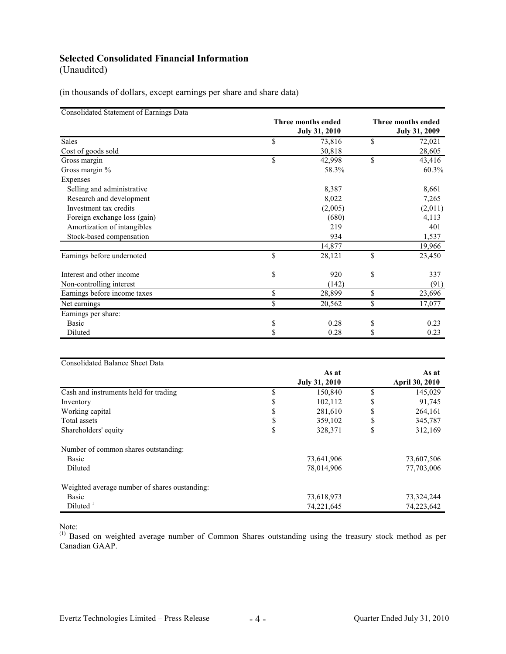# **Selected Consolidated Financial Information**

(Unaudited)

(in thousands of dollars, except earnings per share and share data)

| Consolidated Statement of Earnings Data | <b>Three months ended</b> | <b>Three months ended</b> |
|-----------------------------------------|---------------------------|---------------------------|
|                                         | <b>July 31, 2010</b>      | <b>July 31, 2009</b>      |
|                                         |                           |                           |
| Sales                                   | \$<br>73,816              | \$<br>72,021              |
| Cost of goods sold                      | 30,818                    | 28,605                    |
| Gross margin                            | \$<br>42,998              | \$<br>43,416              |
| Gross margin %                          | 58.3%                     | $60.3\%$                  |
| Expenses                                |                           |                           |
| Selling and administrative              | 8,387                     | 8,661                     |
| Research and development                | 8,022                     | 7,265                     |
| Investment tax credits                  | (2,005)                   | (2,011)                   |
| Foreign exchange loss (gain)            | (680)                     | 4,113                     |
| Amortization of intangibles             | 219                       | 401                       |
| Stock-based compensation                | 934                       | 1,537                     |
|                                         | 14,877                    | 19,966                    |
| Earnings before undernoted              | \$<br>28,121              | \$<br>23,450              |
| Interest and other income               | \$<br>920                 | \$<br>337                 |
| Non-controlling interest                | (142)                     | (91)                      |
| Earnings before income taxes            | \$<br>28,899              | \$<br>23,696              |
| Net earnings                            | \$<br>20,562              | \$<br>17,077              |
| Earnings per share:                     |                           |                           |
| Basic                                   | \$<br>0.28                | \$<br>0.23                |
| Diluted                                 | \$<br>0.28                | \$<br>0.23                |

| <b>Consolidated Balance Sheet Data</b>        |    |                      |    |                       |
|-----------------------------------------------|----|----------------------|----|-----------------------|
|                                               |    | As at                |    | As at                 |
|                                               |    | <b>July 31, 2010</b> |    | <b>April 30, 2010</b> |
| Cash and instruments held for trading         | S  | 150,840              | S  | 145,029               |
| Inventory                                     | J. | 102,112              | \$ | 91,745                |
| Working capital                               | J. | 281,610              | \$ | 264,161               |
| Total assets                                  | S  | 359,102              | \$ | 345,787               |
| Shareholders' equity                          | \$ | 328,371              | \$ | 312,169               |
| Number of common shares outstanding:          |    |                      |    |                       |
| Basic                                         |    | 73,641,906           |    | 73,607,506            |
| Diluted                                       |    | 78,014,906           |    | 77,703,006            |
| Weighted average number of shares oustanding: |    |                      |    |                       |
| Basic                                         |    | 73,618,973           |    | 73,324,244            |
| Diluted <sup>1</sup>                          |    | 74,221,645           |    | 74,223,642            |

Note:

<sup>(1)</sup> Based on weighted average number of Common Shares outstanding using the treasury stock method as per Canadian GAAP.